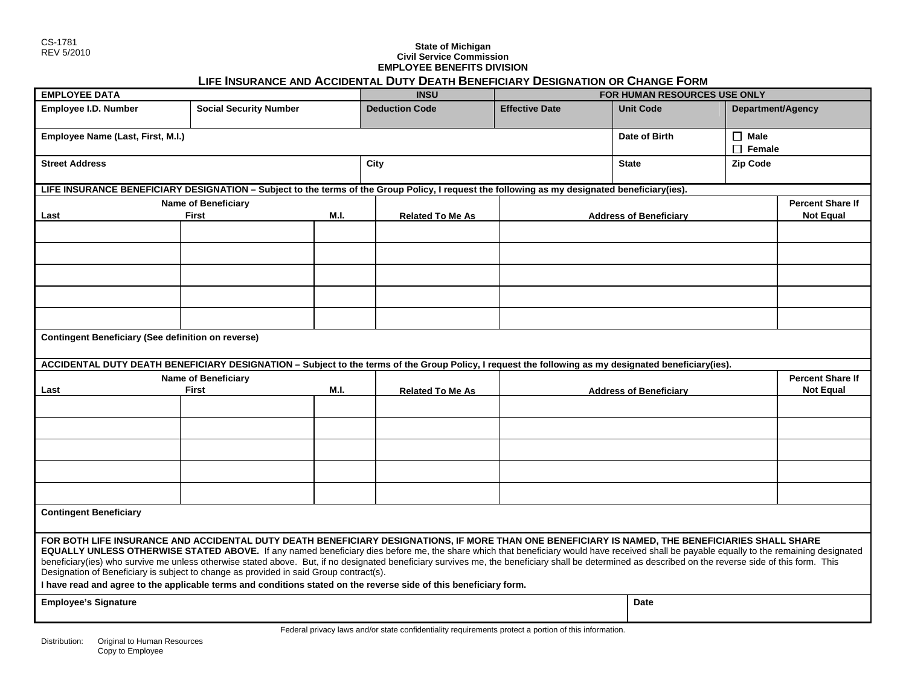# REV 5/2010 **State of Michigan Civil Service Commission EMPLOYEE BENEFITS DIVISION LIFE INSURANCE AND ACCIDENTAL DUTY DEATH BENEFICIARY DESIGNATION OR CHANGE FORM**

| <b>EMPLOYEE DATA</b>                                                                                                                                                                                                                                                                                                                                                                                                                                                                                                                                                                                                                                                                                                                                                  |                               |      | <b>INSU</b>             |                       | FOR HUMAN RESOURCES USE ONLY  |                              |  |
|-----------------------------------------------------------------------------------------------------------------------------------------------------------------------------------------------------------------------------------------------------------------------------------------------------------------------------------------------------------------------------------------------------------------------------------------------------------------------------------------------------------------------------------------------------------------------------------------------------------------------------------------------------------------------------------------------------------------------------------------------------------------------|-------------------------------|------|-------------------------|-----------------------|-------------------------------|------------------------------|--|
| Employee I.D. Number                                                                                                                                                                                                                                                                                                                                                                                                                                                                                                                                                                                                                                                                                                                                                  | <b>Social Security Number</b> |      | <b>Deduction Code</b>   | <b>Effective Date</b> | <b>Unit Code</b>              | Department/Agency            |  |
| Employee Name (Last, First, M.I.)                                                                                                                                                                                                                                                                                                                                                                                                                                                                                                                                                                                                                                                                                                                                     |                               |      |                         |                       | Date of Birth                 | $\Box$ Male<br>$\Box$ Female |  |
| <b>Street Address</b>                                                                                                                                                                                                                                                                                                                                                                                                                                                                                                                                                                                                                                                                                                                                                 |                               |      | City                    |                       | <b>State</b>                  | <b>Zip Code</b>              |  |
| LIFE INSURANCE BENEFICIARY DESIGNATION - Subject to the terms of the Group Policy, I request the following as my designated beneficiary(ies).                                                                                                                                                                                                                                                                                                                                                                                                                                                                                                                                                                                                                         |                               |      |                         |                       |                               |                              |  |
|                                                                                                                                                                                                                                                                                                                                                                                                                                                                                                                                                                                                                                                                                                                                                                       | <b>Name of Beneficiary</b>    |      |                         |                       |                               | <b>Percent Share If</b>      |  |
| Last                                                                                                                                                                                                                                                                                                                                                                                                                                                                                                                                                                                                                                                                                                                                                                  | First                         | M.I. | <b>Related To Me As</b> |                       | <b>Address of Beneficiary</b> | <b>Not Equal</b>             |  |
|                                                                                                                                                                                                                                                                                                                                                                                                                                                                                                                                                                                                                                                                                                                                                                       |                               |      |                         |                       |                               |                              |  |
|                                                                                                                                                                                                                                                                                                                                                                                                                                                                                                                                                                                                                                                                                                                                                                       |                               |      |                         |                       |                               |                              |  |
|                                                                                                                                                                                                                                                                                                                                                                                                                                                                                                                                                                                                                                                                                                                                                                       |                               |      |                         |                       |                               |                              |  |
|                                                                                                                                                                                                                                                                                                                                                                                                                                                                                                                                                                                                                                                                                                                                                                       |                               |      |                         |                       |                               |                              |  |
|                                                                                                                                                                                                                                                                                                                                                                                                                                                                                                                                                                                                                                                                                                                                                                       |                               |      |                         |                       |                               |                              |  |
| <b>Contingent Beneficiary (See definition on reverse)</b>                                                                                                                                                                                                                                                                                                                                                                                                                                                                                                                                                                                                                                                                                                             |                               |      |                         |                       |                               |                              |  |
| ACCIDENTAL DUTY DEATH BENEFICIARY DESIGNATION - Subject to the terms of the Group Policy, I request the following as my designated beneficiary(ies).                                                                                                                                                                                                                                                                                                                                                                                                                                                                                                                                                                                                                  |                               |      |                         |                       |                               |                              |  |
| <b>Name of Beneficiary</b>                                                                                                                                                                                                                                                                                                                                                                                                                                                                                                                                                                                                                                                                                                                                            |                               |      |                         |                       |                               | <b>Percent Share If</b>      |  |
| Last                                                                                                                                                                                                                                                                                                                                                                                                                                                                                                                                                                                                                                                                                                                                                                  | <b>M.I.</b><br>First          |      | <b>Related To Me As</b> |                       | <b>Address of Beneficiary</b> |                              |  |
|                                                                                                                                                                                                                                                                                                                                                                                                                                                                                                                                                                                                                                                                                                                                                                       |                               |      |                         |                       |                               |                              |  |
|                                                                                                                                                                                                                                                                                                                                                                                                                                                                                                                                                                                                                                                                                                                                                                       |                               |      |                         |                       |                               |                              |  |
|                                                                                                                                                                                                                                                                                                                                                                                                                                                                                                                                                                                                                                                                                                                                                                       |                               |      |                         |                       |                               |                              |  |
|                                                                                                                                                                                                                                                                                                                                                                                                                                                                                                                                                                                                                                                                                                                                                                       |                               |      |                         |                       |                               |                              |  |
|                                                                                                                                                                                                                                                                                                                                                                                                                                                                                                                                                                                                                                                                                                                                                                       |                               |      |                         |                       |                               |                              |  |
| <b>Contingent Beneficiary</b>                                                                                                                                                                                                                                                                                                                                                                                                                                                                                                                                                                                                                                                                                                                                         |                               |      |                         |                       |                               |                              |  |
| FOR BOTH LIFE INSURANCE AND ACCIDENTAL DUTY DEATH BENEFICIARY DESIGNATIONS, IF MORE THAN ONE BENEFICIARY IS NAMED, THE BENEFICIARIES SHALL SHARE<br>EQUALLY UNLESS OTHERWISE STATED ABOVE. If any named beneficiary dies before me, the share which that beneficiary would have received shall be payable equally to the remaining designated<br>beneficiary(ies) who survive me unless otherwise stated above. But, if no designated beneficiary survives me, the beneficiary shall be determined as described on the reverse side of this form. This<br>Designation of Beneficiary is subject to change as provided in said Group contract(s).<br>I have read and agree to the applicable terms and conditions stated on the reverse side of this beneficiary form. |                               |      |                         |                       |                               |                              |  |
| <b>Employee's Signature</b>                                                                                                                                                                                                                                                                                                                                                                                                                                                                                                                                                                                                                                                                                                                                           |                               |      |                         |                       | <b>Date</b>                   |                              |  |
|                                                                                                                                                                                                                                                                                                                                                                                                                                                                                                                                                                                                                                                                                                                                                                       |                               |      |                         |                       |                               |                              |  |
| Federal privacy laws and/or state confidentiality requirements protect a portion of this information.                                                                                                                                                                                                                                                                                                                                                                                                                                                                                                                                                                                                                                                                 |                               |      |                         |                       |                               |                              |  |